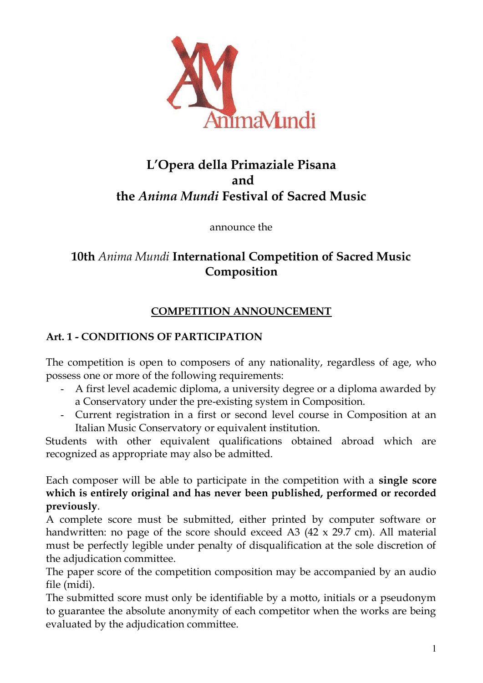

# **L'Opera della Primaziale Pisana and the** *Anima Mundi* **Festival of Sacred Music**

announce the

# **10th** *Anima Mundi* **International Competition of Sacred Music Composition**

# **COMPETITION ANNOUNCEMENT**

# **Art. 1 - CONDITIONS OF PARTICIPATION**

The competition is open to composers of any nationality, regardless of age, who possess one or more of the following requirements:

- A first level academic diploma, a university degree or a diploma awarded by a Conservatory under the pre-existing system in Composition.
- Current registration in a first or second level course in Composition at an Italian Music Conservatory or equivalent institution.

Students with other equivalent qualifications obtained abroad which are recognized as appropriate may also be admitted.

Each composer will be able to participate in the competition with a **single score which is entirely original and has never been published, performed or recorded previously**.

A complete score must be submitted, either printed by computer software or handwritten: no page of the score should exceed A3 (42 x 29.7 cm). All material must be perfectly legible under penalty of disqualification at the sole discretion of the adjudication committee.

The paper score of the competition composition may be accompanied by an audio file (midi).

The submitted score must only be identifiable by a motto, initials or a pseudonym to guarantee the absolute anonymity of each competitor when the works are being evaluated by the adjudication committee.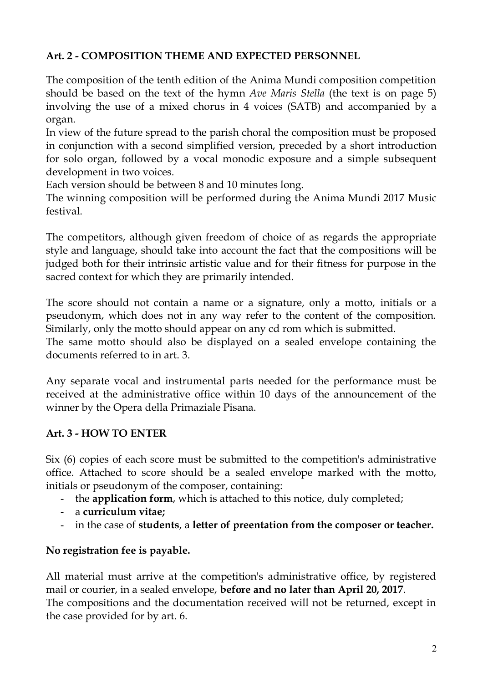# **Art. 2 - COMPOSITION THEME AND EXPECTED PERSONNEL**

The composition of the tenth edition of the Anima Mundi composition competition should be based on the text of the hymn *Ave Maris Stella* (the text is on page 5) involving the use of a mixed chorus in 4 voices (SATB) and accompanied by a organ.

In view of the future spread to the parish choral the composition must be proposed in conjunction with a second simplified version, preceded by a short introduction for solo organ, followed by a vocal monodic exposure and a simple subsequent development in two voices.

Each version should be between 8 and 10 minutes long.

The winning composition will be performed during the Anima Mundi 2017 Music festival.

The competitors, although given freedom of choice of as regards the appropriate style and language, should take into account the fact that the compositions will be judged both for their intrinsic artistic value and for their fitness for purpose in the sacred context for which they are primarily intended.

The score should not contain a name or a signature, only a motto, initials or a pseudonym, which does not in any way refer to the content of the composition. Similarly, only the motto should appear on any cd rom which is submitted.

The same motto should also be displayed on a sealed envelope containing the documents referred to in art. 3.

Any separate vocal and instrumental parts needed for the performance must be received at the administrative office within 10 days of the announcement of the winner by the Opera della Primaziale Pisana.

# **Art. 3 - HOW TO ENTER**

Six (6) copies of each score must be submitted to the competition's administrative office. Attached to score should be a sealed envelope marked with the motto, initials or pseudonym of the composer, containing:

- the **application form**, which is attached to this notice, duly completed;
- a **curriculum vitae;**
- in the case of **students**, a **letter of preentation from the composer or teacher.**

# **No registration fee is payable.**

All material must arrive at the competition's administrative office, by registered mail or courier, in a sealed envelope, **before and no later than April 20, 2017**. The compositions and the documentation received will not be returned, except in the case provided for by art. 6.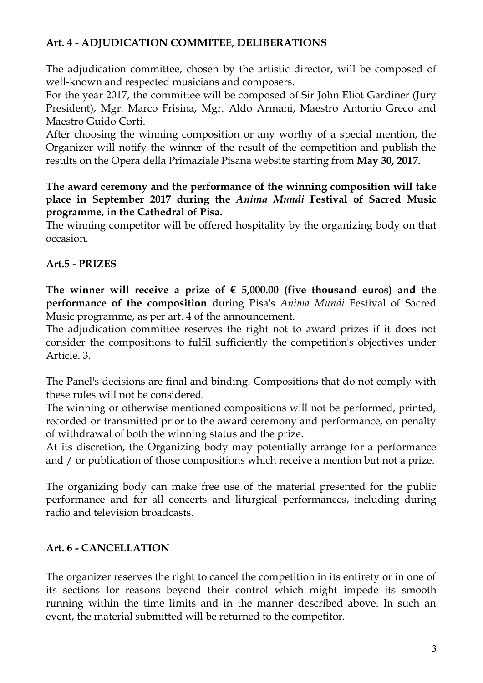### **Art. 4 - ADJUDICATION COMMITEE, DELIBERATIONS**

The adjudication committee, chosen by the artistic director, will be composed of well-known and respected musicians and composers.

For the year 2017, the committee will be composed of Sir John Eliot Gardiner (Jury President), Mgr. Marco Frisina, Mgr. Aldo Armani, Maestro Antonio Greco and Maestro Guido Corti.

After choosing the winning composition or any worthy of a special mention, the Organizer will notify the winner of the result of the competition and publish the results on the Opera della Primaziale Pisana website starting from **May 30, 2017.**

**The award ceremony and the performance of the winning composition will take place in September 2017 during the** *Anima Mundi* **Festival of Sacred Music programme, in the Cathedral of Pisa.**

The winning competitor will be offered hospitality by the organizing body on that occasion.

# **Art.5 - PRIZES**

The winner will receive a prize of  $\epsilon$  5,000.00 (five thousand euros) and the **performance of the composition** during Pisa's *Anima Mundi* Festival of Sacred Music programme, as per art. 4 of the announcement.

The adjudication committee reserves the right not to award prizes if it does not consider the compositions to fulfil sufficiently the competition's objectives under Article. 3.

The Panel's decisions are final and binding. Compositions that do not comply with these rules will not be considered.

The winning or otherwise mentioned compositions will not be performed, printed, recorded or transmitted prior to the award ceremony and performance, on penalty of withdrawal of both the winning status and the prize.

At its discretion, the Organizing body may potentially arrange for a performance and / or publication of those compositions which receive a mention but not a prize.

The organizing body can make free use of the material presented for the public performance and for all concerts and liturgical performances, including during radio and television broadcasts.

# **Art. 6 - CANCELLATION**

The organizer reserves the right to cancel the competition in its entirety or in one of its sections for reasons beyond their control which might impede its smooth running within the time limits and in the manner described above. In such an event, the material submitted will be returned to the competitor.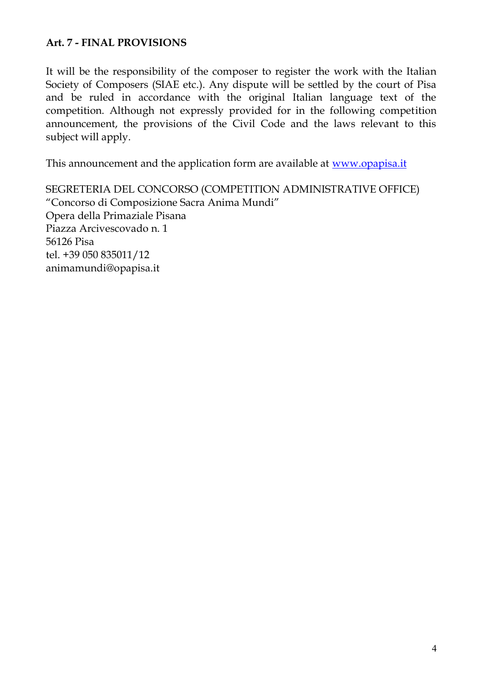### **Art. 7 - FINAL PROVISIONS**

It will be the responsibility of the composer to register the work with the Italian Society of Composers (SIAE etc.). Any dispute will be settled by the court of Pisa and be ruled in accordance with the original Italian language text of the competition. Although not expressly provided for in the following competition announcement, the provisions of the Civil Code and the laws relevant to this subject will apply.

This announcement and the application form are available at www.opapisa.it

SEGRETERIA DEL CONCORSO (COMPETITION ADMINISTRATIVE OFFICE) "Concorso di Composizione Sacra Anima Mundi" Opera della Primaziale Pisana Piazza Arcivescovado n. 1 56126 Pisa tel. +39 050 835011/12 animamundi@opapisa.it